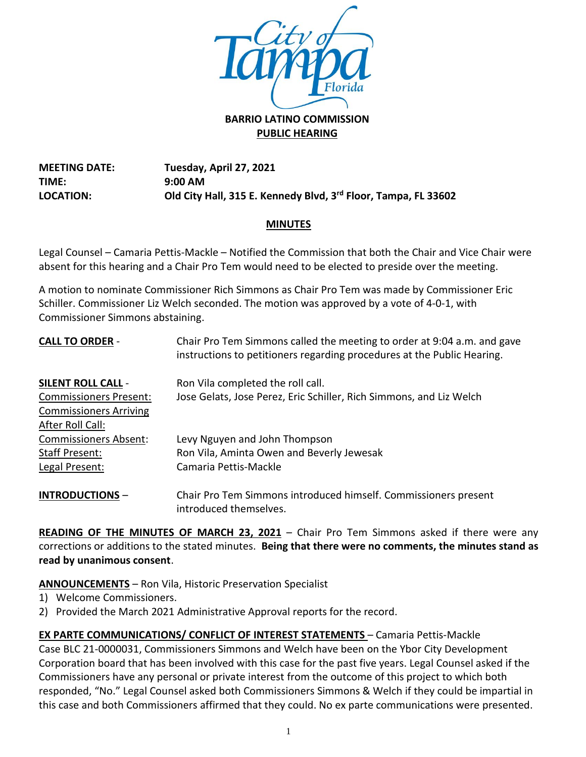

# **PUBLIC HEARING**

**MEETING DATE: TIME: LOCATION: Tuesday, April 27, 2021 9:00 AM Old City Hall, 315 E. Kennedy Blvd, 3rd Floor, Tampa, FL 33602**

# **MINUTES**

Legal Counsel – Camaria Pettis-Mackle – Notified the Commission that both the Chair and Vice Chair were absent for this hearing and a Chair Pro Tem would need to be elected to preside over the meeting.

A motion to nominate Commissioner Rich Simmons as Chair Pro Tem was made by Commissioner Eric Schiller. Commissioner Liz Welch seconded. The motion was approved by a vote of 4-0-1, with Commissioner Simmons abstaining.

| <b>CALL TO ORDER -</b>        | Chair Pro Tem Simmons called the meeting to order at 9:04 a.m. and gave<br>instructions to petitioners regarding procedures at the Public Hearing. |
|-------------------------------|----------------------------------------------------------------------------------------------------------------------------------------------------|
| <b>SILENT ROLL CALL -</b>     | Ron Vila completed the roll call.                                                                                                                  |
| <b>Commissioners Present:</b> | Jose Gelats, Jose Perez, Eric Schiller, Rich Simmons, and Liz Welch                                                                                |
| <b>Commissioners Arriving</b> |                                                                                                                                                    |
| After Roll Call:              |                                                                                                                                                    |
| <b>Commissioners Absent:</b>  | Levy Nguyen and John Thompson                                                                                                                      |
| Staff Present:                | Ron Vila, Aminta Owen and Beverly Jewesak                                                                                                          |
| Legal Present:                | Camaria Pettis-Mackle                                                                                                                              |
| <b>INTRODUCTIONS-</b>         | Chair Pro Tem Simmons introduced himself. Commissioners present<br>introduced themselves.                                                          |

**READING OF THE MINUTES OF MARCH 23, 2021** – Chair Pro Tem Simmons asked if there were any corrections or additions to the stated minutes. **Being that there were no comments, the minutes stand as read by unanimous consent**.

**ANNOUNCEMENTS** – Ron Vila, Historic Preservation Specialist

- 1) Welcome Commissioners.
- 2) Provided the March 2021 Administrative Approval reports for the record.

**EX PARTE COMMUNICATIONS/ CONFLICT OF INTEREST STATEMENTS** – Camaria Pettis-Mackle Case BLC 21-0000031, Commissioners Simmons and Welch have been on the Ybor City Development Corporation board that has been involved with this case for the past five years. Legal Counsel asked if the Commissioners have any personal or private interest from the outcome of this project to which both responded, "No." Legal Counsel asked both Commissioners Simmons & Welch if they could be impartial in this case and both Commissioners affirmed that they could. No ex parte communications were presented.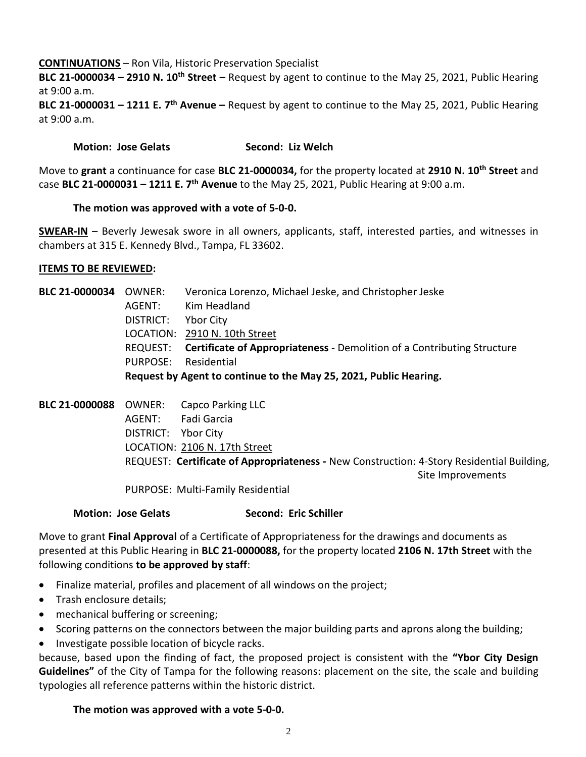### **CONTINUATIONS** – Ron Vila, Historic Preservation Specialist

**BLC 21-0000034 – 2910 N. 10th Street –** Request by agent to continue to the May 25, 2021, Public Hearing at 9:00 a.m.

**BLC 21-0000031 – 1211 E. 7th Avenue –** Request by agent to continue to the May 25, 2021, Public Hearing at 9:00 a.m.

#### **Motion: Jose Gelats Second: Liz Welch**

Move to **grant** a continuance for case **BLC 21-0000034,** for the property located at **2910 N. 10th Street** and case **BLC 21-0000031 – 1211 E. 7th Avenue** to the May 25, 2021, Public Hearing at 9:00 a.m.

#### **The motion was approved with a vote of 5-0-0.**

**SWEAR-IN** – Beverly Jewesak swore in all owners, applicants, staff, interested parties, and witnesses in chambers at 315 E. Kennedy Blvd., Tampa, FL 33602.

#### **ITEMS TO BE REVIEWED:**

| BLC 21-0000034 OWNER: |                                                                   | Veronica Lorenzo, Michael Jeske, and Christopher Jeske                           |
|-----------------------|-------------------------------------------------------------------|----------------------------------------------------------------------------------|
|                       | AGENT:                                                            | Kim Headland                                                                     |
|                       | DISTRICT:                                                         | Ybor City                                                                        |
|                       |                                                                   | LOCATION: 2910 N. 10th Street                                                    |
|                       |                                                                   | REQUEST: Certificate of Appropriateness - Demolition of a Contributing Structure |
|                       | PURPOSE:                                                          | Residential                                                                      |
|                       | Request by Agent to continue to the May 25, 2021, Public Hearing. |                                                                                  |
|                       |                                                                   |                                                                                  |

| <b>BLC 21-0000088</b> | OWNER:              | Capco Parking LLC                                                                         |
|-----------------------|---------------------|-------------------------------------------------------------------------------------------|
|                       | AGENT:              | Fadi Garcia                                                                               |
|                       | DISTRICT: Ybor City |                                                                                           |
|                       |                     | LOCATION: 2106 N. 17th Street                                                             |
|                       |                     | REQUEST: Certificate of Appropriateness - New Construction: 4-Story Residential Building, |
|                       |                     | Site Improvements                                                                         |
|                       |                     | PURPOSE: Multi-Family Residential                                                         |

#### **Motion: Jose Gelats Second: Eric Schiller**

Move to grant **Final Approval** of a Certificate of Appropriateness for the drawings and documents as presented at this Public Hearing in **BLC 21-0000088,** for the property located **2106 N. 17th Street** with the following conditions **to be approved by staff**:

- Finalize material, profiles and placement of all windows on the project;
- Trash enclosure details;
- mechanical buffering or screening;
- Scoring patterns on the connectors between the major building parts and aprons along the building;
- Investigate possible location of bicycle racks.

because, based upon the finding of fact, the proposed project is consistent with the **"Ybor City Design Guidelines"** of the City of Tampa for the following reasons: placement on the site, the scale and building typologies all reference patterns within the historic district.

## **The motion was approved with a vote 5-0-0.**